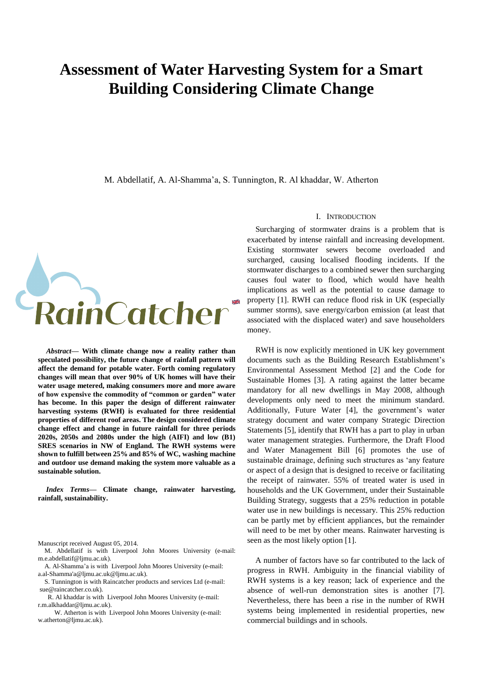# **Assessment of Water Harvesting System for a Smart Building Considering Climate Change**

M. Abdellatif, A. Al-Shamma'a, S. Tunnington, R. Al khaddar, W. Atherton



*Abstract***— With climate change now a reality rather than speculated possibility, the future change of rainfall pattern will affect the demand for potable water. Forth coming regulatory changes will mean that over 90% of UK homes will have their water usage metered, making consumers more and more aware of how expensive the commodity of "common or garden" water has become. In this paper the design of different rainwater harvesting systems (RWH) is evaluated for three residential properties of different roof areas. The design considered climate change effect and change in future rainfall for three periods 2020s, 2050s and 2080s under the high (AIFI) and low (B1) SRES scenarios in NW of England. The RWH systems were shown to fulfill between 25% and 85% of WC, washing machine and outdoor use demand making the system more valuable as a sustainable solution.**

*Index Terms***— Climate change, rainwater harvesting, rainfall, sustainability.**

- M. Abdellatif is with Liverpool John Moores University (e-mail: m.e.abdellatif@ljmu.ac.uk).
- A. [Al-Shamma'a is with](mailto:m.e.abdellatif@ljmu.ac.uk) Liverpool John Moores University (e-mail: a.al-Shamma'a@ljmu.ac.uk@ljmu.ac.uk).
- [S. Tunnington is with Raincatcher prod](mailto:M.E.Abdellatif@ljmu.ac.uk)ucts and services Ltd (e-mail: sue@raincatcher.co.uk).
- R. Al khaddar is with Liverpool John Moores University (e-mail: r.m.alkhaddar@ljmu.ac.uk).
- [W. Atherton is with L](mailto:r.m.alkhaddar@ljmu.ac.uk)iverpool John Moores University (e-mail: w.atherton@ljmu.ac.uk).

# I. INTRODUCTION

Surcharging of stormwater drains is a problem that is exacerbated by intense rainfall and increasing development. Existing stormwater sewers become overloaded and surcharged, causing localised flooding incidents. If the stormwater discharges to a combined sewer then surcharging causes foul water to flood, which would have health implications as well as the potential to cause damage to property [1]. RWH can reduce flood risk in UK (especially summer storms), save energy/carbon emission (at least that associated with the displaced water) and save householders money.

RWH is now explicitly mentioned in UK key government documents such as the Building Research Establishment's Environmental Assessment Method [2] and the Code for Sustainable Homes [3]. A rating against the latter became mandatory for all new dwellings in May 2008, although developments only need to meet the minimum standard. Additionally, Future Water [4], the government's water strategy document and water company Strategic Direction Statements [5], identify that RWH has a part to play in urban water management strategies. Furthermore, the Draft Flood and Water Management Bill [6] promotes the use of sustainable drainage, defining such structures as 'any feature or aspect of a design that is designed to receive or facilitating the receipt of rainwater. 55% of treated water is used in households and the UK Government, under their Sustainable Building Strategy, suggests that a 25% reduction in potable water use in new buildings is necessary. This 25% reduction can be partly met by efficient appliances, but the remainder will need to be met by other means. Rainwater harvesting is seen as the most likely option [1].

A number of factors have so far contributed to the lack of progress in RWH. Ambiguity in the financial viability of RWH systems is a key reason; lack of experience and the absence of well-run demonstration sites is another [7]. Nevertheless, there has been a rise in the number of RWH systems being implemented in residential properties, new commercial buildings and in schools.

Manuscript received August 05, 2014.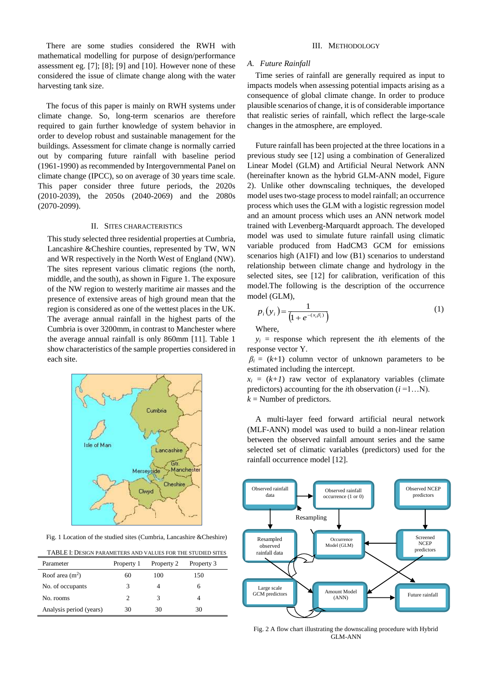There are some studies considered the RWH with mathematical modelling for purpose of design/performance assessment eg. [7]; [8]; [9] and [10]. However none of these considered the issue of climate change along with the water harvesting tank size.

The focus of this paper is mainly on RWH systems under climate change. So, long-term scenarios are therefore required to gain further knowledge of system behavior in order to develop robust and sustainable management for the buildings. Assessment for climate change is normally carried out by comparing future rainfall with baseline period (1961-1990) as recommended by Intergovernmental Panel on climate change (IPCC), so on average of 30 years time scale. This paper consider three future periods, the 2020s (2010-2039), the 2050s (2040-2069) and the 2080s (2070-2099).

# II. SITES CHARACTERISTICS

This study selected three residential properties at Cumbria, Lancashire &Cheshire counties, represented by TW, WN and WR respectively in the North West of England (NW). The sites represent various climatic regions (the north, middle, and the south), as shown in Figure 1. The exposure of the NW region to westerly maritime air masses and the presence of extensive areas of high ground mean that the region is considered as one of the wettest places in the UK. The average annual rainfall in the highest parts of the Cumbria is over 3200mm, in contrast to Manchester where the average annual rainfall is only 860mm [11]. Table 1 show characteristics of the sample properties considered in each site.



Fig. 1 Location of the studied sites (Cumbria, Lancashire &Cheshire)

TABLE I: DESIGN PARAMETERS AND VALUES FOR THE STUDIED SITES

| Parameter               | Property 1 | Property 2 | Property 3 |  |
|-------------------------|------------|------------|------------|--|
| Roof area $(m^2)$       | 60         | 100        | 150        |  |
| No. of occupants        |            |            |            |  |
| No. rooms               |            |            |            |  |
| Analysis period (years) | 30         | 30         | 30         |  |

## III. METHODOLOGY

## *A. Future Rainfall*

Time series of rainfall are generally required as input to impacts models when assessing potential impacts arising as a consequence of global climate change. In order to produce plausible scenarios of change, it is of considerable importance that realistic series of rainfall, which reflect the large-scale changes in the atmosphere, are employed.

Future rainfall has been projected at the three locations in a previous study see [12] using a combination of Generalized Linear Model (GLM) and Artificial Neural Network ANN (hereinafter known as the hybrid GLM-ANN model, Figure 2). Unlike other downscaling techniques, the developed model uses two-stage process to model rainfall; an occurrence process which uses the GLM with a logistic regression model and an amount process which uses an ANN network model trained with Levenberg-Marquardt approach. The developed model was used to simulate future rainfall using climatic variable produced from HadCM3 GCM for emissions scenarios high (A1FI) and low (B1) scenarios to understand relationship between climate change and hydrology in the selected sites, see [12] for calibration, verification of this model.The following is the description of the occurrence model (GLM),

$$
p_i(y_i) = \frac{1}{(1 + e^{-(x_i \beta_i)})}
$$
 (1)

Where,

 $y_i$  = response which represent the *i*th elements of the response vector Y.

 $\beta$ <sup>*i*</sup> = (*k*+1) column vector of unknown parameters to be estimated including the intercept.

 $x_i = (k+1)$  raw vector of explanatory variables (climate predictors) accounting for the *i*th observation  $(i = 1...N)$ .  $k =$  Number of predictors.

A multi-layer feed forward artificial neural network (MLF-ANN) model was used to build a non-linear relation between the observed rainfall amount series and the same selected set of climatic variables (predictors) used for the rainfall occurrence model [12].



Fig. 2 A flow chart illustrating the downscaling procedure with Hybrid GLM-ANN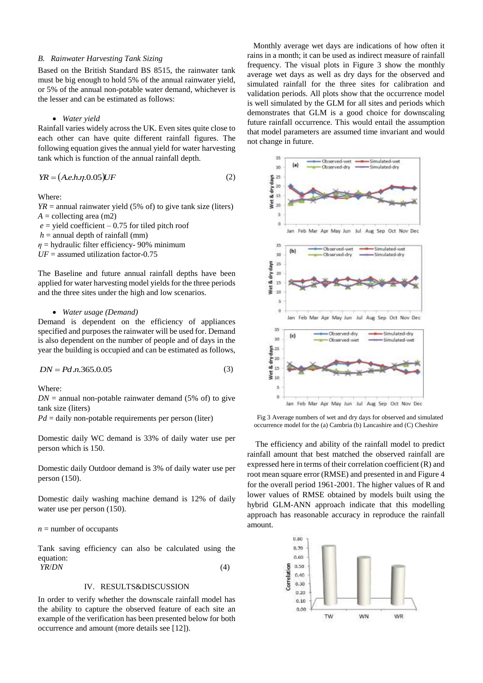## *B. Rainwater Harvesting Tank Sizing*

Based on the British Standard BS 8515, the rainwater tank must be big enough to hold 5% of the annual rainwater yield, or 5% of the annual non-potable water demand, whichever is the lesser and can be estimated as follows:

### *Water yield*

Rainfall varies widely across the UK. Even sites quite close to each other can have quite different rainfall figures. The following equation gives the annual yield for water harvesting tank which is function of the annual rainfall depth.

$$
YR = (A.e.h.\eta.0.05)UF\tag{2}
$$

Where:

 $YR =$  annual rainwater yield (5% of) to give tank size (liters)  $A =$  collecting area (m2)  $e$  = yield coefficient – 0.75 for tiled pitch roof

 $h =$  annual depth of rainfall (mm)

*η* = hydraulic filter efficiency- 90% minimum

 $UF =$  assumed utilization factor-0.75

The Baseline and future annual rainfall depths have been applied for water harvesting model yields for the three periods and the three sites under the high and low scenarios.

#### *Water usage (Demand)*

Demand is dependent on the efficiency of appliances specified and purposes the rainwater will be used for. Demand is also dependent on the number of people and of days in the year the building is occupied and can be estimated as follows,

$$
DN = Pd.n.365.0.05\tag{3}
$$

Where:

 $DN =$  annual non-potable rainwater demand (5% of) to give tank size (liters)

 $Pd =$  daily non-potable requirements per person (liter)

Domestic daily WC demand is 33% of daily water use per person which is 150.

Domestic daily Outdoor demand is 3% of daily water use per person (150).

Domestic daily washing machine demand is 12% of daily water use per person (150).

## $n =$  number of occupants

Tank saving efficiency can also be calculated using the equation:

*YR*/*DN* (4)

# IV. RESULTS&DISCUSSION

In order to verify whether the downscale rainfall model has the ability to capture the observed feature of each site an example of the verification has been presented below for both occurrence and amount (more details see [12]).

 Monthly average wet days are indications of how often it rains in a month; it can be used as indirect measure of rainfall frequency. The visual plots in Figure 3 show the monthly average wet days as well as dry days for the observed and simulated rainfall for the three sites for calibration and validation periods. All plots show that the occurrence model is well simulated by the GLM for all sites and periods which demonstrates that GLM is a good choice for downscaling future rainfall occurrence. This would entail the assumption that model parameters are assumed time invariant and would not change in future.



Fig 3 Average numbers of wet and dry days for observed and simulated occurrence model for the (a) Cambria (b) Lancashire and (C) Cheshire

The efficiency and ability of the rainfall model to predict rainfall amount that best matched the observed rainfall are expressed here in terms of their correlation coefficient (R) and root mean square error (RMSE) and presented in and Figure 4 for the overall period 1961-2001. The higher values of R and lower values of RMSE obtained by models built using the hybrid GLM-ANN approach indicate that this modelling approach has reasonable accuracy in reproduce the rainfall amount.

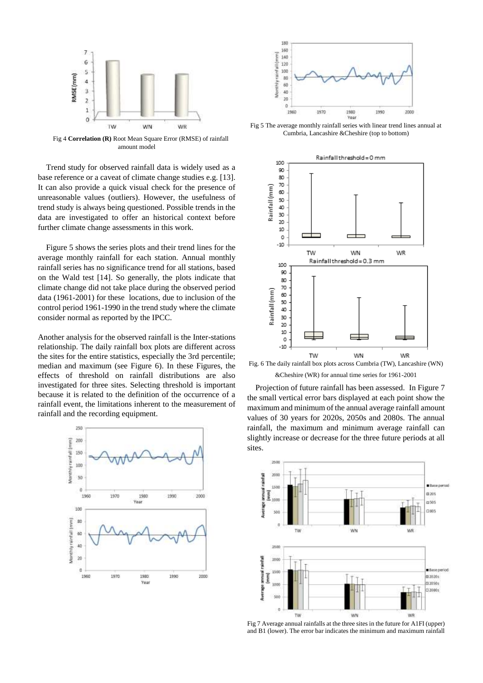

Fig 4 **Correlation (R)** Root Mean Square Error (RMSE) of rainfall amount model

Trend study for observed rainfall data is widely used as a base reference or a caveat of climate change studies e.g. [13]. It can also provide a quick visual check for the presence of unreasonable values (outliers). However, the usefulness of trend study is always being questioned. Possible trends in the data are investigated to offer an historical context before further climate change assessments in this work.

Figure 5 shows the series plots and their trend lines for the average monthly rainfall for each station. Annual monthly rainfall series has no significance trend for all stations, based on the Wald test [14]. So generally, the plots indicate that climate change did not take place during the observed period data (1961-2001) for these locations, due to inclusion of the control period 1961-1990 in the trend study where the climate consider normal as reported by the IPCC.

Another analysis for the observed rainfall is the Inter-stations relationship. The daily rainfall box plots are different across the sites for the entire statistics, especially the 3rd percentile; median and maximum (see Figure 6). In these Figures, the effects of threshold on rainfall distributions are also investigated for three sites. Selecting threshold is important because it is related to the definition of the occurrence of a rainfall event, the limitations inherent to the measurement of rainfall and the recording equipment.





Fig 5 The average monthly rainfall series with linear trend lines annual at Cumbria, Lancashire &Cheshire (top to bottom)



&Cheshire (WR) for annual time series for 1961-2001

Projection of future rainfall has been assessed. In Figure 7 the small vertical error bars displayed at each point show the maximum and minimum of the annual average rainfall amount values of 30 years for 2020s, 2050s and 2080s. The annual rainfall, the maximum and minimum average rainfall can slightly increase or decrease for the three future periods at all sites.



Fig 7 Average annual rainfalls at the three sites in the future for A1FI (upper) and B1 (lower). The error bar indicates the minimum and maximum rainfall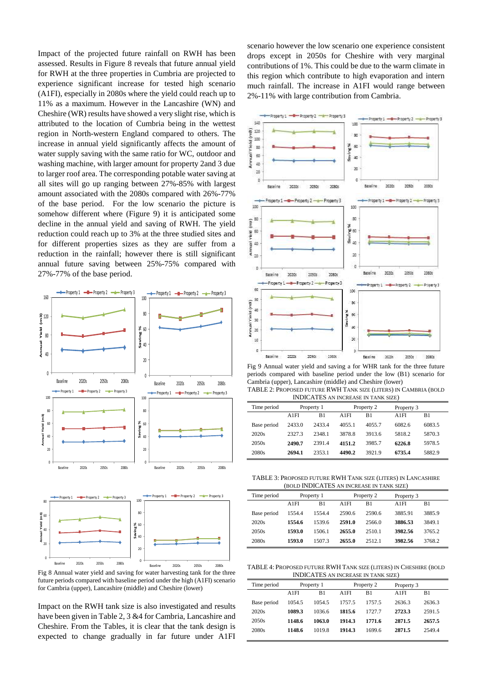Impact of the projected future rainfall on RWH has been assessed. Results in Figure 8 reveals that future annual yield for RWH at the three properties in Cumbria are projected to experience significant increase for tested high scenario (A1FI), especially in 2080s where the yield could reach up to 11% as a maximum. However in the Lancashire (WN) and Cheshire (WR) results have showed a very slight rise, which is attributed to the location of Cumbria being in the wettest region in North-western England compared to others. The increase in annual yield significantly affects the amount of water supply saving with the same ratio for WC, outdoor and washing machine, with larger amount for property 2and 3 due to larger roof area. The corresponding potable water saving at all sites will go up ranging between 27%-85% with largest amount associated with the 2080s compared with 26%-77% of the base period. For the low scenario the picture is somehow different where (Figure 9) it is anticipated some decline in the annual yield and saving of RWH. The yield reduction could reach up to 3% at the three studied sites and for different properties sizes as they are suffer from a reduction in the rainfall; however there is still significant annual future saving between 25%-75% compared with 27%-77% of the base period.



Fig 8 Annual water yield and saving for water harvesting tank for the three future periods compared with baseline period under the high (A1FI) scenario for Cambria (upper), Lancashire (middle) and Cheshire (lower)

Impact on the RWH tank size is also investigated and results have been given in Table 2, 3 &4 for Cambria, Lancashire and Cheshire. From the Tables, it is clear that the tank design is expected to change gradually in far future under A1FI scenario however the low scenario one experience consistent drops except in 2050s for Cheshire with very marginal contributions of 1%. This could be due to the warm climate in this region which contribute to high evaporation and intern much rainfall. The increase in A1FI would range between 2%-11% with large contribution from Cambria.



Fig 9 Annual water yield and saving a for WHR tank for the three future periods compared with baseline period under the low (B1) scenario for Cambria (upper), Lancashire (middle) and Cheshire (lower) TABLE 2: PROPOSED FUTURE RWH TANK SIZE (LITERS) IN CAMBRIA (BOLD INDICATES AN INCREASE IN TANK SIZE)

| INDICATED AN INCREASE IN TAINN SIZE! |            |        |            |        |            |        |
|--------------------------------------|------------|--------|------------|--------|------------|--------|
| Time period                          | Property 1 |        | Property 2 |        | Property 3 |        |
|                                      | A1FI       | B1     | A 1 FI     | B1     | A1FI       | B1     |
| Base period                          | 2433.0     | 2433.4 | 4055.1     | 4055.7 | 6082.6     | 6083.5 |
| 2020s                                | 2327.3     | 2348.1 | 3878.8     | 3913.6 | 5818.2     | 5870.3 |
| 2050s                                | 2490.7     | 2391.4 | 4151.2     | 3985.7 | 6226.8     | 5978.5 |
| 2080s                                | 2694.1     | 2353.1 | 4490.2     | 3921.9 | 6735.4     | 5882.9 |

TABLE 3: PROPOSED FUTURE RWH TANK SIZE (LITERS) IN LANCASHIRE (BOLD INDICATES AN INCREASE IN TANK SIZE)

| Time period | Property 1 |        | Property 2 |        | Property 3 |        |  |
|-------------|------------|--------|------------|--------|------------|--------|--|
|             | A1FI       | B1     | A1FI       | B1     | A1FI       | B1     |  |
| Base period | 1554.4     | 1554.4 | 2590.6     | 2590.6 | 3885.91    | 3885.9 |  |
| 2020s       | 1554.6     | 1539.6 | 2591.0     | 2566.0 | 3886.53    | 3849.1 |  |
| 2050s       | 1593.0     | 1506.1 | 2655.0     | 2510.1 | 3982.56    | 3765.2 |  |
| 2080s       | 1593.0     | 1507.3 | 2655.0     | 2512.1 | 3982.56    | 3768.2 |  |

TABLE 4: PROPOSED FUTURE RWH TANK SIZE (LITERS) IN CHESHIRE (BOLD INDICATES AN INCREASE IN TANK SIZE)

| Time period | Property 1 |        | Property 2 |        | Property 3 |        |
|-------------|------------|--------|------------|--------|------------|--------|
|             | A1FI       | B1     | A1FI       | B1     | A1FI       | B1     |
| Base period | 1054.5     | 1054.5 | 1757.5     | 1757.5 | 2636.3     | 2636.3 |
| 2020s       | 1089.3     | 10366  | 1815.6     | 17277  | 2723.3     | 2591.5 |
| 2050s       | 1148.6     | 1063.0 | 1914.3     | 1771.6 | 2871.5     | 2657.5 |
| 2080s       | 1148.6     | 1019.8 | 1914.3     | 1699.6 | 2871.5     | 2549.4 |